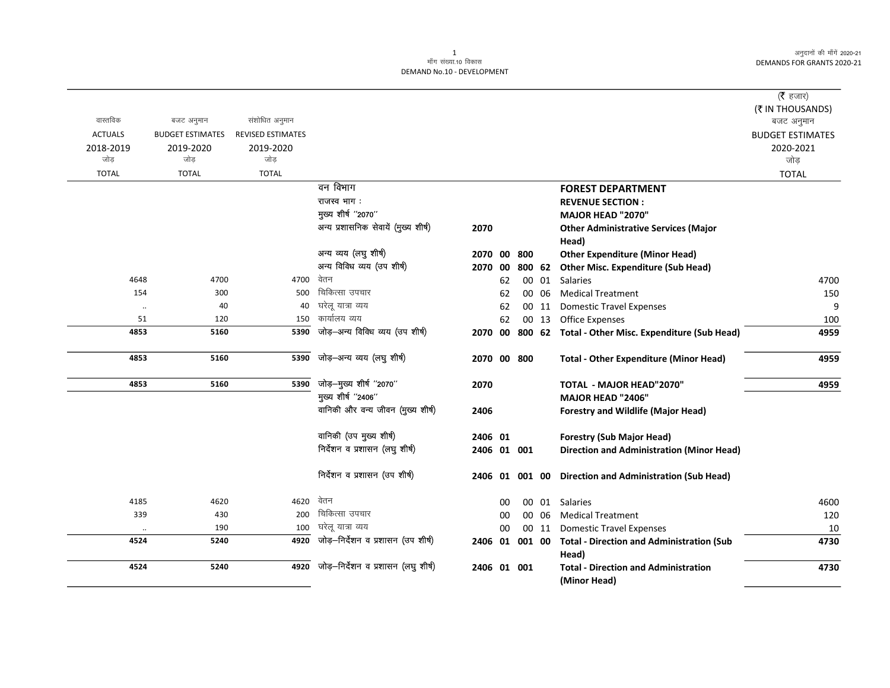|                |                         |                          |                                      |             |    |        |       |                                                          | ( $\bar{\tau}$ हजार)    |
|----------------|-------------------------|--------------------------|--------------------------------------|-------------|----|--------|-------|----------------------------------------------------------|-------------------------|
|                |                         |                          |                                      |             |    |        |       |                                                          | (₹ IN THOUSANDS)        |
| वास्तविक       | बजट अनुमान              | संशोधित अनुमान           |                                      |             |    |        |       |                                                          | बजट अनुमान              |
| <b>ACTUALS</b> | <b>BUDGET ESTIMATES</b> | <b>REVISED ESTIMATES</b> |                                      |             |    |        |       |                                                          | <b>BUDGET ESTIMATES</b> |
| 2018-2019      | 2019-2020               | 2019-2020                |                                      |             |    |        |       |                                                          | 2020-2021               |
| जोड            | जोड                     | जोड                      |                                      |             |    |        |       |                                                          | जोड़                    |
| <b>TOTAL</b>   | <b>TOTAL</b>            | <b>TOTAL</b>             |                                      |             |    |        |       |                                                          | <b>TOTAL</b>            |
|                |                         |                          | वन विभाग                             |             |    |        |       | <b>FOREST DEPARTMENT</b>                                 |                         |
|                |                         |                          | राजस्व भाग:                          |             |    |        |       | <b>REVENUE SECTION:</b>                                  |                         |
|                |                         |                          | मुख्य शीर्ष "2070"                   |             |    |        |       | MAJOR HEAD "2070"                                        |                         |
|                |                         |                          | अन्य प्रशासनिक सेवायें (मुख्य शीर्ष) | 2070        |    |        |       | <b>Other Administrative Services (Major</b>              |                         |
|                |                         |                          |                                      |             |    |        |       | Head)                                                    |                         |
|                |                         |                          | अन्य व्यय (लघु शीर्ष)                | 2070 00     |    | 800    |       | <b>Other Expenditure (Minor Head)</b>                    |                         |
|                |                         |                          | अन्य विविध व्यय (उप शीर्ष)           | 2070 00     |    | 800 62 |       | <b>Other Misc. Expenditure (Sub Head)</b>                |                         |
| 4648           | 4700                    | 4700                     | वेतन                                 |             | 62 |        | 00 01 | <b>Salaries</b>                                          | 4700                    |
| 154            | 300                     | 500                      | चिकित्सा उपचार                       |             | 62 |        | 00 06 | <b>Medical Treatment</b>                                 | 150                     |
| $\ddotsc$      | 40                      | 40                       | घरेलू यात्रा व्यय                    |             | 62 |        | 00 11 | <b>Domestic Travel Expenses</b>                          | 9                       |
| 51             | 120                     | 150                      | कार्यालय व्यय                        |             | 62 |        | 00 13 | <b>Office Expenses</b>                                   | 100                     |
| 4853           | 5160                    | 5390                     | जोड़-अन्य विविध व्यय (उप शीर्ष)      | 2070 00     |    |        |       | 800 62 Total - Other Misc. Expenditure (Sub Head)        | 4959                    |
| 4853           | 5160                    | 5390                     | जोड़-अन्य व्यय (लघु शीर्ष)           | 2070 00 800 |    |        |       | <b>Total - Other Expenditure (Minor Head)</b>            | 4959                    |
| 4853           | 5160                    | 5390                     | जोड़-मुख्य शीर्ष "2070"              | 2070        |    |        |       | TOTAL - MAJOR HEAD"2070"                                 | 4959                    |
|                |                         |                          | मुख्य शीर्ष "2406"                   |             |    |        |       | MAJOR HEAD "2406"                                        |                         |
|                |                         |                          | वानिकी और वन्य जीवन (मुख्य शीर्ष)    | 2406        |    |        |       | <b>Forestry and Wildlife (Major Head)</b>                |                         |
|                |                         |                          | वानिकी (उप मुख्य शीर्ष)              | 2406 01     |    |        |       | <b>Forestry (Sub Major Head)</b>                         |                         |
|                |                         |                          | निर्देशन व प्रशासन (लघु शीर्ष)       | 2406 01 001 |    |        |       | <b>Direction and Administration (Minor Head)</b>         |                         |
|                |                         |                          | निर्देशन व प्रशासन (उप शीर्ष)        |             |    |        |       | 2406 01 001 00 Direction and Administration (Sub Head)   |                         |
| 4185           | 4620                    | 4620                     | वेतन                                 |             | 00 |        |       | 00 01 Salaries                                           | 4600                    |
| 339            | 430                     | 200                      | चिकित्सा उपचार                       |             | 00 |        | 00 06 | <b>Medical Treatment</b>                                 | 120                     |
| $\ldots$       | 190                     | 100                      | घरेलू यात्रा व्यय                    |             | 00 |        | 00 11 | <b>Domestic Travel Expenses</b>                          | 10                      |
| 4524           | 5240                    | 4920                     | जोड़-निर्देशन व प्रशासन (उप शीर्ष)   |             |    |        |       | 2406 01 001 00 Total - Direction and Administration (Sub | 4730                    |
|                |                         |                          |                                      |             |    |        |       | Head)                                                    |                         |
| 4524           | 5240                    | 4920                     | जोड़-निर्देशन व प्रशासन (लघु शीर्ष)  | 2406 01 001 |    |        |       | <b>Total - Direction and Administration</b>              | 4730                    |
|                |                         |                          |                                      |             |    |        |       | (Minor Head)                                             |                         |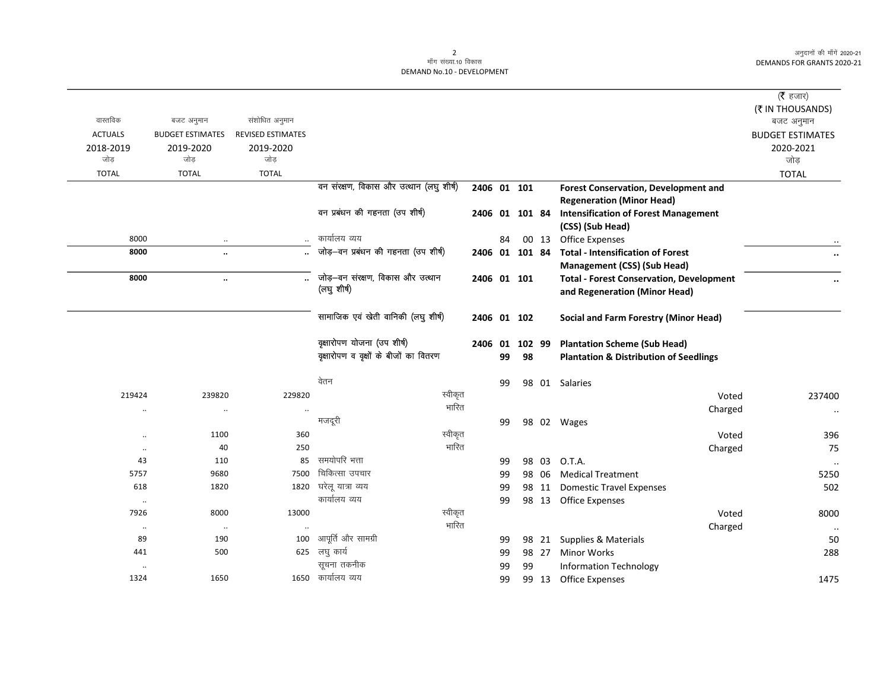|                |                         |                          |                                         |             |    |                |        |                                                   | (रै हजार)               |
|----------------|-------------------------|--------------------------|-----------------------------------------|-------------|----|----------------|--------|---------------------------------------------------|-------------------------|
|                |                         |                          |                                         |             |    |                |        |                                                   | (₹ IN THOUSANDS)        |
| वास्तविक       | बजट अनुमान              | संशोधित अनुमान           |                                         |             |    |                |        |                                                   | बजट अनुमान              |
| <b>ACTUALS</b> | <b>BUDGET ESTIMATES</b> | <b>REVISED ESTIMATES</b> |                                         |             |    |                |        |                                                   | <b>BUDGET ESTIMATES</b> |
| 2018-2019      | 2019-2020               | 2019-2020                |                                         |             |    |                |        |                                                   | 2020-2021               |
| जोड़           | जोड                     | जोड़                     |                                         |             |    |                |        |                                                   | जोड़                    |
| <b>TOTAL</b>   | <b>TOTAL</b>            | <b>TOTAL</b>             |                                         |             |    |                |        |                                                   | <b>TOTAL</b>            |
|                |                         |                          | वन संरक्षण, विकास और उत्थान (लघु शीर्ष) | 2406 01 101 |    |                |        | <b>Forest Conservation, Development and</b>       |                         |
|                |                         |                          |                                         |             |    |                |        | <b>Regeneration (Minor Head)</b>                  |                         |
|                |                         |                          | वन प्रबंधन की गहनता (उप शीर्ष)          |             |    | 2406 01 101 84 |        | <b>Intensification of Forest Management</b>       |                         |
|                |                         |                          |                                         |             |    |                |        | (CSS) (Sub Head)                                  |                         |
| 8000           | $\cdot\cdot$            | $\ldots$                 | कार्यालय व्यय                           |             | 84 |                | 00 13  | <b>Office Expenses</b>                            |                         |
| 8000           | $\ddot{\phantom{a}}$    |                          | जोड़-वन प्रबंधन की गहनता (उप शीर्ष)     |             |    | 2406 01 101 84 |        | <b>Total - Intensification of Forest</b>          | $\cdots$                |
|                |                         |                          |                                         |             |    |                |        | <b>Management (CSS) (Sub Head)</b>                |                         |
| 8000           | $\ddotsc$               |                          | जोड़-वन संरक्षण, विकास और उत्थान        |             |    | 2406 01 101    |        | <b>Total - Forest Conservation, Development</b>   | $\ddot{\phantom{a}}$    |
|                |                         |                          | (लघु शीर्ष)                             |             |    |                |        | and Regeneration (Minor Head)                     |                         |
|                |                         |                          |                                         |             |    |                |        |                                                   |                         |
|                |                         |                          | सामाजिक एवं खेती वानिकी (लघु शीर्ष)     |             |    | 2406 01 102    |        | Social and Farm Forestry (Minor Head)             |                         |
|                |                         |                          |                                         |             |    |                |        |                                                   |                         |
|                |                         |                          | वृक्षारोपण योजना (उप शीर्ष)             | 2406 01     |    |                | 102 99 | <b>Plantation Scheme (Sub Head)</b>               |                         |
|                |                         |                          | वृक्षारोपण व वृक्षों के बीजों का वितरण  |             | 99 | 98             |        | <b>Plantation &amp; Distribution of Seedlings</b> |                         |
|                |                         |                          |                                         |             |    |                |        |                                                   |                         |
|                |                         |                          | वेतन                                    |             | 99 |                |        | 98 01 Salaries                                    |                         |
| 219424         | 239820                  | 229820                   | स्वीकृत                                 |             |    |                |        | Voted                                             | 237400                  |
| $\cdot$ .      | $\cdot\cdot$            | $\ddot{\phantom{0}}$     | भारित                                   |             |    |                |        | Charged                                           | $\cdot\cdot$            |
|                |                         |                          | मजदूरी                                  |             | 99 |                |        | 98 02 Wages                                       |                         |
| $\ddotsc$      | 1100                    | 360                      | स्वीकृत                                 |             |    |                |        | Voted                                             | 396                     |
| $\ldots$       | 40                      | 250                      | भारित                                   |             |    |                |        | Charged                                           | 75                      |
| 43             | 110                     | 85                       | समयोपरि भत्ता                           |             | 99 |                | 98 03  | O.T.A.                                            | $\cdot\cdot$            |
| 5757           | 9680                    | 7500                     | चिकित्सा उपचार                          |             | 99 |                | 98 06  | <b>Medical Treatment</b>                          | 5250                    |
| 618            | 1820                    | 1820                     | घरेलू यात्रा व्यय                       |             | 99 |                | 98 11  | <b>Domestic Travel Expenses</b>                   | 502                     |
| $\cdots$       |                         |                          | कार्यालय व्यय                           |             | 99 |                |        | 98 13 Office Expenses                             |                         |
| 7926           | 8000                    | 13000                    | स्वीकृत                                 |             |    |                |        | Voted                                             | 8000                    |
| $\ldots$       | $\cdot\cdot$            | $\ddot{\phantom{0}}$     | भारित                                   |             |    |                |        | Charged                                           | $\ldots$                |
| 89             | 190                     | 100                      | आपूर्ति और सामग्री                      |             | 99 |                |        | 98 21 Supplies & Materials                        | 50                      |
| 441            | 500                     | 625                      | लघु कार्य                               |             | 99 |                | 98 27  | <b>Minor Works</b>                                | 288                     |
| $\cdot\cdot$   |                         |                          | सूचना तकनीक                             |             | 99 | 99             |        | <b>Information Technology</b>                     |                         |
| 1324           | 1650                    | 1650                     | कार्यालय व्यय                           |             | 99 |                |        | 99 13 Office Expenses                             | 1475                    |
|                |                         |                          |                                         |             |    |                |        |                                                   |                         |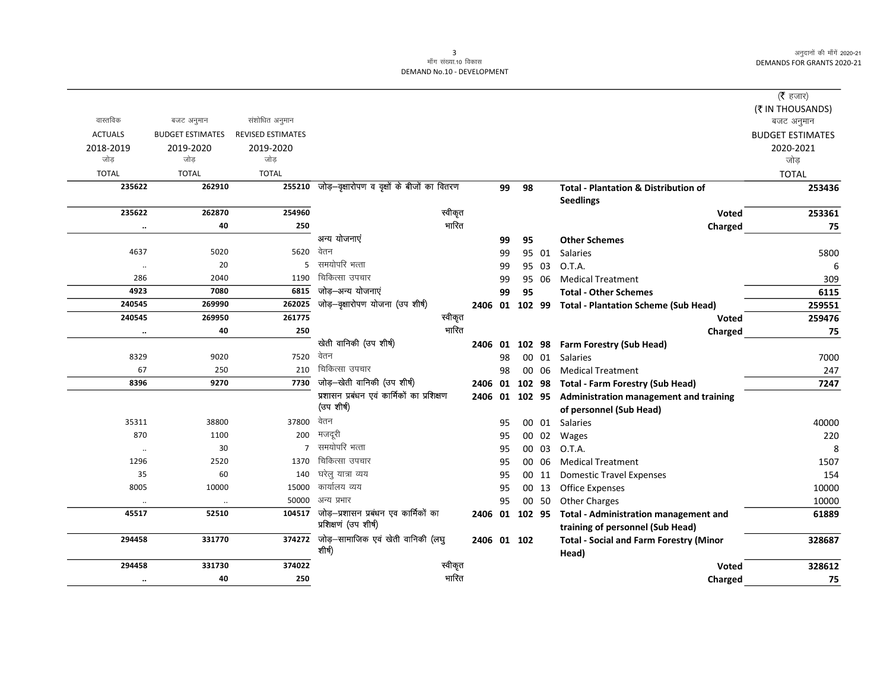| (₹ IN THOUSANDS)<br>वास्तविक<br>संशोधित अनुमान<br>बजट अनुमान<br>बजट अनुमान<br><b>ACTUALS</b><br><b>BUDGET ESTIMATES</b><br><b>REVISED ESTIMATES</b><br><b>BUDGET ESTIMATES</b><br>2018-2019<br>2019-2020<br>2019-2020<br>2020-2021<br>जोड़<br>जोड<br>जोड<br>जोड<br><b>TOTAL</b><br><b>TOTAL</b><br><b>TOTAL</b><br><b>TOTAL</b><br>255210 जोड़-वृक्षारोपण व वृक्षों के बीजों का वितरण<br>235622<br>262910<br>99<br>98<br><b>Total - Plantation &amp; Distribution of</b><br>253436<br><b>Seedlings</b><br>स्वीकृत<br>254960<br>235622<br>262870<br>253361<br>Voted<br>भारित<br>40<br>250<br>75<br>Charged<br>$\ldots$<br>अन्य योजनाएं<br><b>Other Schemes</b><br>99<br>95<br>वेतन<br>5020<br>5620<br>4637<br>99<br>95 01<br>Salaries<br>5800<br>समयोपरि भत्ता<br>20<br>5<br>O.T.A.<br>99<br>95 03<br>6<br>$\cdot\cdot$<br>चिकित्सा उपचार<br>286<br>1190<br>2040<br><b>Medical Treatment</b><br>309<br>99<br>95 06<br>जोड़–अन्य योजनाएं<br>4923<br>6815<br>7080<br>99<br>95<br>6115<br><b>Total - Other Schemes</b><br>जोड़-वृक्षारोपण योजना (उप शीर्ष)<br>262025<br>240545<br>269990<br>2406 01 102 99 Total - Plantation Scheme (Sub Head)<br>259551<br>261775<br>स्वीकृत<br>240545<br>269950<br>259476<br>Voted<br>भारित<br>40<br>250<br>Charged<br>75<br>$\ddotsc$<br>खेती वानिकी (उप शीर्ष)<br>102 98 Farm Forestry (Sub Head)<br>2406 01<br>वेतन<br>7520<br>8329<br>9020<br>98<br>00 01<br>Salaries<br>7000<br>चिकित्सा उपचार<br>67<br>210<br>250<br><b>Medical Treatment</b><br>247<br>98<br>00 06<br>जोड़–खेती वानिकी (उप शीर्ष)<br>9270<br>7730<br>8396<br>102 98 Total - Farm Forestry (Sub Head)<br>7247<br>2406 01<br>प्रशासन प्रबंधन एवं कार्मिकों का प्रशिक्षण<br>2406 01 102 95 Administration management and training<br>(उप शीर्ष)<br>of personnel (Sub Head)<br>वेतन<br>37800<br>35311<br>38800<br>00 01 Salaries<br>40000<br>95<br>मजदूरी<br>870<br>1100<br>200<br>00 02<br>220<br>95<br>Wages<br>समयोपरि भत्ता<br>30<br>$7^{\circ}$<br>00 03<br>O.T.A.<br>95<br>8<br>$\cdot\cdot$<br>चिकित्सा उपचार<br>1296<br>2520<br>1370<br>00 06<br>1507<br>95<br><b>Medical Treatment</b><br>घरेलु यात्रा व्यय<br>60<br>140<br>35<br>154<br>95<br>00 11<br><b>Domestic Travel Expenses</b><br>कार्यालय व्यय<br>15000<br>8005<br>10000<br><b>Office Expenses</b><br>10000<br>95<br>00 13<br>अन्य प्रभार<br>50000<br>95<br>00 50<br><b>Other Charges</b><br>10000<br>$\ldots$<br>$\ddotsc$<br>जोड़—प्रशासन प्रबंधन एव कार्मिकों का<br>104517<br>45517<br>52510<br>2406 01 102 95<br><b>Total - Administration management and</b><br>61889<br>प्रशिक्षणं (उप शीर्ष)<br>training of personnel (Sub Head)<br>जोड़–सामाजिक एवं खेती वानिकी (लघु<br>294458<br>331770<br>374272<br>2406 01 102<br>328687<br><b>Total - Social and Farm Forestry (Minor</b><br>शीर्ष)<br>Head)<br>स्वीकृत<br>374022<br>294458<br>331730<br>328612<br><b>Voted</b><br>भारित<br>40<br>250<br>75<br>Charged<br>$\ldots$ |  |  |  |  | ( <b>रै</b> हजार) |
|-----------------------------------------------------------------------------------------------------------------------------------------------------------------------------------------------------------------------------------------------------------------------------------------------------------------------------------------------------------------------------------------------------------------------------------------------------------------------------------------------------------------------------------------------------------------------------------------------------------------------------------------------------------------------------------------------------------------------------------------------------------------------------------------------------------------------------------------------------------------------------------------------------------------------------------------------------------------------------------------------------------------------------------------------------------------------------------------------------------------------------------------------------------------------------------------------------------------------------------------------------------------------------------------------------------------------------------------------------------------------------------------------------------------------------------------------------------------------------------------------------------------------------------------------------------------------------------------------------------------------------------------------------------------------------------------------------------------------------------------------------------------------------------------------------------------------------------------------------------------------------------------------------------------------------------------------------------------------------------------------------------------------------------------------------------------------------------------------------------------------------------------------------------------------------------------------------------------------------------------------------------------------------------------------------------------------------------------------------------------------------------------------------------------------------------------------------------------------------------------------------------------------------------------------------------------------------------------------------------------------------------------------------------------------------------------------------------------------------------------------------------------------------------------------------------------------------------------------------------------------------------------------------|--|--|--|--|-------------------|
|                                                                                                                                                                                                                                                                                                                                                                                                                                                                                                                                                                                                                                                                                                                                                                                                                                                                                                                                                                                                                                                                                                                                                                                                                                                                                                                                                                                                                                                                                                                                                                                                                                                                                                                                                                                                                                                                                                                                                                                                                                                                                                                                                                                                                                                                                                                                                                                                                                                                                                                                                                                                                                                                                                                                                                                                                                                                                                     |  |  |  |  |                   |
|                                                                                                                                                                                                                                                                                                                                                                                                                                                                                                                                                                                                                                                                                                                                                                                                                                                                                                                                                                                                                                                                                                                                                                                                                                                                                                                                                                                                                                                                                                                                                                                                                                                                                                                                                                                                                                                                                                                                                                                                                                                                                                                                                                                                                                                                                                                                                                                                                                                                                                                                                                                                                                                                                                                                                                                                                                                                                                     |  |  |  |  |                   |
|                                                                                                                                                                                                                                                                                                                                                                                                                                                                                                                                                                                                                                                                                                                                                                                                                                                                                                                                                                                                                                                                                                                                                                                                                                                                                                                                                                                                                                                                                                                                                                                                                                                                                                                                                                                                                                                                                                                                                                                                                                                                                                                                                                                                                                                                                                                                                                                                                                                                                                                                                                                                                                                                                                                                                                                                                                                                                                     |  |  |  |  |                   |
|                                                                                                                                                                                                                                                                                                                                                                                                                                                                                                                                                                                                                                                                                                                                                                                                                                                                                                                                                                                                                                                                                                                                                                                                                                                                                                                                                                                                                                                                                                                                                                                                                                                                                                                                                                                                                                                                                                                                                                                                                                                                                                                                                                                                                                                                                                                                                                                                                                                                                                                                                                                                                                                                                                                                                                                                                                                                                                     |  |  |  |  |                   |
|                                                                                                                                                                                                                                                                                                                                                                                                                                                                                                                                                                                                                                                                                                                                                                                                                                                                                                                                                                                                                                                                                                                                                                                                                                                                                                                                                                                                                                                                                                                                                                                                                                                                                                                                                                                                                                                                                                                                                                                                                                                                                                                                                                                                                                                                                                                                                                                                                                                                                                                                                                                                                                                                                                                                                                                                                                                                                                     |  |  |  |  |                   |
|                                                                                                                                                                                                                                                                                                                                                                                                                                                                                                                                                                                                                                                                                                                                                                                                                                                                                                                                                                                                                                                                                                                                                                                                                                                                                                                                                                                                                                                                                                                                                                                                                                                                                                                                                                                                                                                                                                                                                                                                                                                                                                                                                                                                                                                                                                                                                                                                                                                                                                                                                                                                                                                                                                                                                                                                                                                                                                     |  |  |  |  |                   |
|                                                                                                                                                                                                                                                                                                                                                                                                                                                                                                                                                                                                                                                                                                                                                                                                                                                                                                                                                                                                                                                                                                                                                                                                                                                                                                                                                                                                                                                                                                                                                                                                                                                                                                                                                                                                                                                                                                                                                                                                                                                                                                                                                                                                                                                                                                                                                                                                                                                                                                                                                                                                                                                                                                                                                                                                                                                                                                     |  |  |  |  |                   |
|                                                                                                                                                                                                                                                                                                                                                                                                                                                                                                                                                                                                                                                                                                                                                                                                                                                                                                                                                                                                                                                                                                                                                                                                                                                                                                                                                                                                                                                                                                                                                                                                                                                                                                                                                                                                                                                                                                                                                                                                                                                                                                                                                                                                                                                                                                                                                                                                                                                                                                                                                                                                                                                                                                                                                                                                                                                                                                     |  |  |  |  |                   |
|                                                                                                                                                                                                                                                                                                                                                                                                                                                                                                                                                                                                                                                                                                                                                                                                                                                                                                                                                                                                                                                                                                                                                                                                                                                                                                                                                                                                                                                                                                                                                                                                                                                                                                                                                                                                                                                                                                                                                                                                                                                                                                                                                                                                                                                                                                                                                                                                                                                                                                                                                                                                                                                                                                                                                                                                                                                                                                     |  |  |  |  |                   |
|                                                                                                                                                                                                                                                                                                                                                                                                                                                                                                                                                                                                                                                                                                                                                                                                                                                                                                                                                                                                                                                                                                                                                                                                                                                                                                                                                                                                                                                                                                                                                                                                                                                                                                                                                                                                                                                                                                                                                                                                                                                                                                                                                                                                                                                                                                                                                                                                                                                                                                                                                                                                                                                                                                                                                                                                                                                                                                     |  |  |  |  |                   |
|                                                                                                                                                                                                                                                                                                                                                                                                                                                                                                                                                                                                                                                                                                                                                                                                                                                                                                                                                                                                                                                                                                                                                                                                                                                                                                                                                                                                                                                                                                                                                                                                                                                                                                                                                                                                                                                                                                                                                                                                                                                                                                                                                                                                                                                                                                                                                                                                                                                                                                                                                                                                                                                                                                                                                                                                                                                                                                     |  |  |  |  |                   |
|                                                                                                                                                                                                                                                                                                                                                                                                                                                                                                                                                                                                                                                                                                                                                                                                                                                                                                                                                                                                                                                                                                                                                                                                                                                                                                                                                                                                                                                                                                                                                                                                                                                                                                                                                                                                                                                                                                                                                                                                                                                                                                                                                                                                                                                                                                                                                                                                                                                                                                                                                                                                                                                                                                                                                                                                                                                                                                     |  |  |  |  |                   |
|                                                                                                                                                                                                                                                                                                                                                                                                                                                                                                                                                                                                                                                                                                                                                                                                                                                                                                                                                                                                                                                                                                                                                                                                                                                                                                                                                                                                                                                                                                                                                                                                                                                                                                                                                                                                                                                                                                                                                                                                                                                                                                                                                                                                                                                                                                                                                                                                                                                                                                                                                                                                                                                                                                                                                                                                                                                                                                     |  |  |  |  |                   |
|                                                                                                                                                                                                                                                                                                                                                                                                                                                                                                                                                                                                                                                                                                                                                                                                                                                                                                                                                                                                                                                                                                                                                                                                                                                                                                                                                                                                                                                                                                                                                                                                                                                                                                                                                                                                                                                                                                                                                                                                                                                                                                                                                                                                                                                                                                                                                                                                                                                                                                                                                                                                                                                                                                                                                                                                                                                                                                     |  |  |  |  |                   |
|                                                                                                                                                                                                                                                                                                                                                                                                                                                                                                                                                                                                                                                                                                                                                                                                                                                                                                                                                                                                                                                                                                                                                                                                                                                                                                                                                                                                                                                                                                                                                                                                                                                                                                                                                                                                                                                                                                                                                                                                                                                                                                                                                                                                                                                                                                                                                                                                                                                                                                                                                                                                                                                                                                                                                                                                                                                                                                     |  |  |  |  |                   |
|                                                                                                                                                                                                                                                                                                                                                                                                                                                                                                                                                                                                                                                                                                                                                                                                                                                                                                                                                                                                                                                                                                                                                                                                                                                                                                                                                                                                                                                                                                                                                                                                                                                                                                                                                                                                                                                                                                                                                                                                                                                                                                                                                                                                                                                                                                                                                                                                                                                                                                                                                                                                                                                                                                                                                                                                                                                                                                     |  |  |  |  |                   |
|                                                                                                                                                                                                                                                                                                                                                                                                                                                                                                                                                                                                                                                                                                                                                                                                                                                                                                                                                                                                                                                                                                                                                                                                                                                                                                                                                                                                                                                                                                                                                                                                                                                                                                                                                                                                                                                                                                                                                                                                                                                                                                                                                                                                                                                                                                                                                                                                                                                                                                                                                                                                                                                                                                                                                                                                                                                                                                     |  |  |  |  |                   |
|                                                                                                                                                                                                                                                                                                                                                                                                                                                                                                                                                                                                                                                                                                                                                                                                                                                                                                                                                                                                                                                                                                                                                                                                                                                                                                                                                                                                                                                                                                                                                                                                                                                                                                                                                                                                                                                                                                                                                                                                                                                                                                                                                                                                                                                                                                                                                                                                                                                                                                                                                                                                                                                                                                                                                                                                                                                                                                     |  |  |  |  |                   |
|                                                                                                                                                                                                                                                                                                                                                                                                                                                                                                                                                                                                                                                                                                                                                                                                                                                                                                                                                                                                                                                                                                                                                                                                                                                                                                                                                                                                                                                                                                                                                                                                                                                                                                                                                                                                                                                                                                                                                                                                                                                                                                                                                                                                                                                                                                                                                                                                                                                                                                                                                                                                                                                                                                                                                                                                                                                                                                     |  |  |  |  |                   |
|                                                                                                                                                                                                                                                                                                                                                                                                                                                                                                                                                                                                                                                                                                                                                                                                                                                                                                                                                                                                                                                                                                                                                                                                                                                                                                                                                                                                                                                                                                                                                                                                                                                                                                                                                                                                                                                                                                                                                                                                                                                                                                                                                                                                                                                                                                                                                                                                                                                                                                                                                                                                                                                                                                                                                                                                                                                                                                     |  |  |  |  |                   |
|                                                                                                                                                                                                                                                                                                                                                                                                                                                                                                                                                                                                                                                                                                                                                                                                                                                                                                                                                                                                                                                                                                                                                                                                                                                                                                                                                                                                                                                                                                                                                                                                                                                                                                                                                                                                                                                                                                                                                                                                                                                                                                                                                                                                                                                                                                                                                                                                                                                                                                                                                                                                                                                                                                                                                                                                                                                                                                     |  |  |  |  |                   |
|                                                                                                                                                                                                                                                                                                                                                                                                                                                                                                                                                                                                                                                                                                                                                                                                                                                                                                                                                                                                                                                                                                                                                                                                                                                                                                                                                                                                                                                                                                                                                                                                                                                                                                                                                                                                                                                                                                                                                                                                                                                                                                                                                                                                                                                                                                                                                                                                                                                                                                                                                                                                                                                                                                                                                                                                                                                                                                     |  |  |  |  |                   |
|                                                                                                                                                                                                                                                                                                                                                                                                                                                                                                                                                                                                                                                                                                                                                                                                                                                                                                                                                                                                                                                                                                                                                                                                                                                                                                                                                                                                                                                                                                                                                                                                                                                                                                                                                                                                                                                                                                                                                                                                                                                                                                                                                                                                                                                                                                                                                                                                                                                                                                                                                                                                                                                                                                                                                                                                                                                                                                     |  |  |  |  |                   |
|                                                                                                                                                                                                                                                                                                                                                                                                                                                                                                                                                                                                                                                                                                                                                                                                                                                                                                                                                                                                                                                                                                                                                                                                                                                                                                                                                                                                                                                                                                                                                                                                                                                                                                                                                                                                                                                                                                                                                                                                                                                                                                                                                                                                                                                                                                                                                                                                                                                                                                                                                                                                                                                                                                                                                                                                                                                                                                     |  |  |  |  |                   |
|                                                                                                                                                                                                                                                                                                                                                                                                                                                                                                                                                                                                                                                                                                                                                                                                                                                                                                                                                                                                                                                                                                                                                                                                                                                                                                                                                                                                                                                                                                                                                                                                                                                                                                                                                                                                                                                                                                                                                                                                                                                                                                                                                                                                                                                                                                                                                                                                                                                                                                                                                                                                                                                                                                                                                                                                                                                                                                     |  |  |  |  |                   |
|                                                                                                                                                                                                                                                                                                                                                                                                                                                                                                                                                                                                                                                                                                                                                                                                                                                                                                                                                                                                                                                                                                                                                                                                                                                                                                                                                                                                                                                                                                                                                                                                                                                                                                                                                                                                                                                                                                                                                                                                                                                                                                                                                                                                                                                                                                                                                                                                                                                                                                                                                                                                                                                                                                                                                                                                                                                                                                     |  |  |  |  |                   |
|                                                                                                                                                                                                                                                                                                                                                                                                                                                                                                                                                                                                                                                                                                                                                                                                                                                                                                                                                                                                                                                                                                                                                                                                                                                                                                                                                                                                                                                                                                                                                                                                                                                                                                                                                                                                                                                                                                                                                                                                                                                                                                                                                                                                                                                                                                                                                                                                                                                                                                                                                                                                                                                                                                                                                                                                                                                                                                     |  |  |  |  |                   |
|                                                                                                                                                                                                                                                                                                                                                                                                                                                                                                                                                                                                                                                                                                                                                                                                                                                                                                                                                                                                                                                                                                                                                                                                                                                                                                                                                                                                                                                                                                                                                                                                                                                                                                                                                                                                                                                                                                                                                                                                                                                                                                                                                                                                                                                                                                                                                                                                                                                                                                                                                                                                                                                                                                                                                                                                                                                                                                     |  |  |  |  |                   |
|                                                                                                                                                                                                                                                                                                                                                                                                                                                                                                                                                                                                                                                                                                                                                                                                                                                                                                                                                                                                                                                                                                                                                                                                                                                                                                                                                                                                                                                                                                                                                                                                                                                                                                                                                                                                                                                                                                                                                                                                                                                                                                                                                                                                                                                                                                                                                                                                                                                                                                                                                                                                                                                                                                                                                                                                                                                                                                     |  |  |  |  |                   |
|                                                                                                                                                                                                                                                                                                                                                                                                                                                                                                                                                                                                                                                                                                                                                                                                                                                                                                                                                                                                                                                                                                                                                                                                                                                                                                                                                                                                                                                                                                                                                                                                                                                                                                                                                                                                                                                                                                                                                                                                                                                                                                                                                                                                                                                                                                                                                                                                                                                                                                                                                                                                                                                                                                                                                                                                                                                                                                     |  |  |  |  |                   |
|                                                                                                                                                                                                                                                                                                                                                                                                                                                                                                                                                                                                                                                                                                                                                                                                                                                                                                                                                                                                                                                                                                                                                                                                                                                                                                                                                                                                                                                                                                                                                                                                                                                                                                                                                                                                                                                                                                                                                                                                                                                                                                                                                                                                                                                                                                                                                                                                                                                                                                                                                                                                                                                                                                                                                                                                                                                                                                     |  |  |  |  |                   |
|                                                                                                                                                                                                                                                                                                                                                                                                                                                                                                                                                                                                                                                                                                                                                                                                                                                                                                                                                                                                                                                                                                                                                                                                                                                                                                                                                                                                                                                                                                                                                                                                                                                                                                                                                                                                                                                                                                                                                                                                                                                                                                                                                                                                                                                                                                                                                                                                                                                                                                                                                                                                                                                                                                                                                                                                                                                                                                     |  |  |  |  |                   |
|                                                                                                                                                                                                                                                                                                                                                                                                                                                                                                                                                                                                                                                                                                                                                                                                                                                                                                                                                                                                                                                                                                                                                                                                                                                                                                                                                                                                                                                                                                                                                                                                                                                                                                                                                                                                                                                                                                                                                                                                                                                                                                                                                                                                                                                                                                                                                                                                                                                                                                                                                                                                                                                                                                                                                                                                                                                                                                     |  |  |  |  |                   |
|                                                                                                                                                                                                                                                                                                                                                                                                                                                                                                                                                                                                                                                                                                                                                                                                                                                                                                                                                                                                                                                                                                                                                                                                                                                                                                                                                                                                                                                                                                                                                                                                                                                                                                                                                                                                                                                                                                                                                                                                                                                                                                                                                                                                                                                                                                                                                                                                                                                                                                                                                                                                                                                                                                                                                                                                                                                                                                     |  |  |  |  |                   |
|                                                                                                                                                                                                                                                                                                                                                                                                                                                                                                                                                                                                                                                                                                                                                                                                                                                                                                                                                                                                                                                                                                                                                                                                                                                                                                                                                                                                                                                                                                                                                                                                                                                                                                                                                                                                                                                                                                                                                                                                                                                                                                                                                                                                                                                                                                                                                                                                                                                                                                                                                                                                                                                                                                                                                                                                                                                                                                     |  |  |  |  |                   |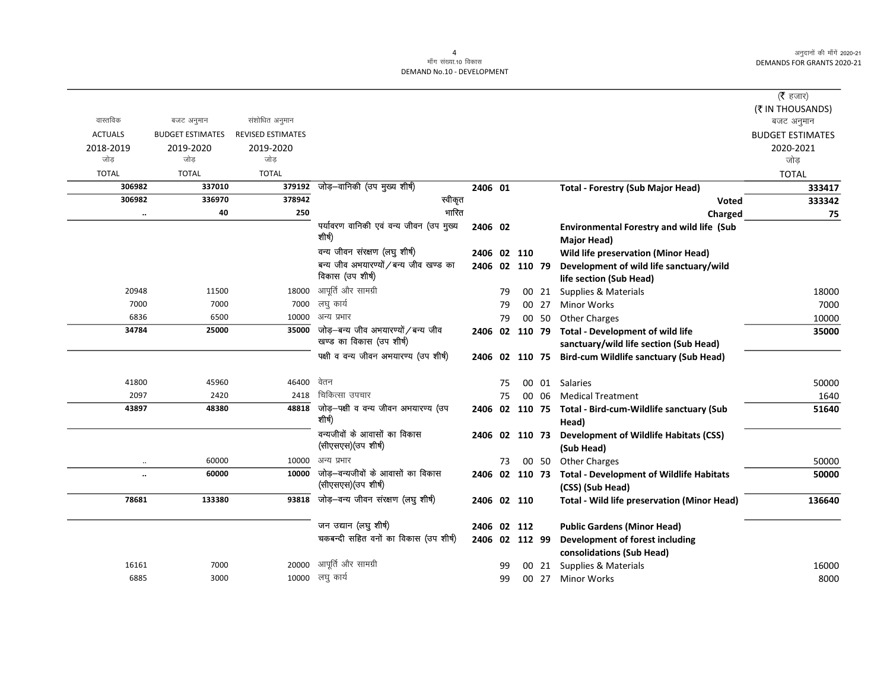|                |                         |                          |                                         |             |    |                |       |                                                         | ( $\bar{\tau}$ हजार)    |
|----------------|-------------------------|--------------------------|-----------------------------------------|-------------|----|----------------|-------|---------------------------------------------------------|-------------------------|
|                |                         |                          |                                         |             |    |                |       |                                                         | (₹ IN THOUSANDS)        |
| वास्तविक       | बजट अनुमान              | संशोधित अनुमान           |                                         |             |    |                |       |                                                         | बजट अनुमान              |
| <b>ACTUALS</b> | <b>BUDGET ESTIMATES</b> | <b>REVISED ESTIMATES</b> |                                         |             |    |                |       |                                                         | <b>BUDGET ESTIMATES</b> |
| 2018-2019      | 2019-2020               | 2019-2020                |                                         |             |    |                |       |                                                         | 2020-2021               |
| जोड            | जोड                     | जोड                      |                                         |             |    |                |       |                                                         | जोड                     |
| <b>TOTAL</b>   | <b>TOTAL</b>            | <b>TOTAL</b>             |                                         |             |    |                |       |                                                         | <b>TOTAL</b>            |
| 306982         | 337010                  | 379192                   | जोड़-वानिकी (उप मुख्य शीर्ष)            | 2406 01     |    |                |       | <b>Total - Forestry (Sub Major Head)</b>                | 333417                  |
| 306982         | 336970                  | 378942                   | स्वीकृत                                 |             |    |                |       | <b>Voted</b>                                            | 333342                  |
| $\ddotsc$      | 40                      | 250                      | भारित                                   |             |    |                |       | Charged                                                 | 75                      |
|                |                         |                          | पर्यावरण वानिकी एवं वन्य जीवन (उप मुख्य | 2406 02     |    |                |       | Environmental Forestry and wild life (Sub               |                         |
|                |                         |                          | शीर्ष)                                  |             |    |                |       | <b>Major Head)</b>                                      |                         |
|                |                         |                          | वन्य जीवन संरक्षण (लघु शीर्ष)           | 2406 02 110 |    |                |       | <b>Wild life preservation (Minor Head)</b>              |                         |
|                |                         |                          | बन्य जीव अभयारण्यों / बन्य जीव खण्ड का  |             |    | 2406 02 110 79 |       | Development of wild life sanctuary/wild                 |                         |
|                |                         |                          | विकास (उप शीर्ष)                        |             |    |                |       | life section (Sub Head)                                 |                         |
| 20948          | 11500                   | 18000                    | आपूर्ति और सामग्री                      |             | 79 |                | 00 21 | Supplies & Materials                                    | 18000                   |
| 7000           | 7000                    | 7000                     | लघु कार्य                               |             | 79 |                | 00 27 | <b>Minor Works</b>                                      | 7000                    |
| 6836           | 6500                    | 10000                    | अन्य प्रभार                             |             | 79 |                | 00 50 | <b>Other Charges</b>                                    | 10000                   |
| 34784          | 25000                   | 35000                    | जोड़-बन्य जीव अभयारण्यों / बन्य जीव     |             |    | 2406 02 110 79 |       | <b>Total - Development of wild life</b>                 | 35000                   |
|                |                         |                          | खण्ड का विकास (उप शीर्ष)                |             |    |                |       | sanctuary/wild life section (Sub Head)                  |                         |
|                |                         |                          | पक्षी व वन्य जीवन अभयारण्य (उप शीर्ष)   |             |    |                |       | 2406 02 110 75 Bird-cum Wildlife sanctuary (Sub Head)   |                         |
| 41800          | 45960                   | 46400                    | वेतन                                    |             | 75 |                |       | 00 01 Salaries                                          | 50000                   |
| 2097           | 2420                    | 2418                     | चिकित्सा उपचार                          |             | 75 |                | 00 06 | <b>Medical Treatment</b>                                | 1640                    |
| 43897          | 48380                   | 48818                    | जोड़-पक्षी व वन्य जीवन अभयारण्य (उप     |             |    |                |       | 2406 02 110 75 Total - Bird-cum-Wildlife sanctuary (Sub | 51640                   |
|                |                         |                          | शीर्ष)                                  |             |    |                |       | Head)                                                   |                         |
|                |                         |                          | वन्यजीवों के आवासों का विकास            |             |    | 2406 02 110 73 |       | <b>Development of Wildlife Habitats (CSS)</b>           |                         |
|                |                         |                          | (सीएसएस) (उप शीर्ष)                     |             |    |                |       | (Sub Head)                                              |                         |
| $\ddotsc$      | 60000                   | 10000                    | अन्य प्रभार                             |             | 73 |                | 00 50 | <b>Other Charges</b>                                    | 50000                   |
|                | 60000                   | 10000                    | जोड़—वन्यजीवों के आवासों का विकास       |             |    |                |       | 2406 02 110 73 Total - Development of Wildlife Habitats | 50000                   |
|                |                         |                          | (सीएसएस) (उप शीर्ष)                     |             |    |                |       | (CSS) (Sub Head)                                        |                         |
| 78681          | 133380                  | 93818                    | जोड़-वन्य जीवन संरक्षण (लघु शीर्ष)      | 2406 02 110 |    |                |       | <b>Total - Wild life preservation (Minor Head)</b>      | 136640                  |
|                |                         |                          | जन उद्यान (लघु शीर्ष)                   | 2406 02 112 |    |                |       | <b>Public Gardens (Minor Head)</b>                      |                         |
|                |                         |                          | चकबन्दी सहित वनों का विकास (उप शीर्ष)   |             |    | 2406 02 112 99 |       | <b>Development of forest including</b>                  |                         |
|                |                         |                          |                                         |             |    |                |       | consolidations (Sub Head)                               |                         |
| 16161          | 7000                    | 20000                    | आपूर्ति और सामग्री                      |             | 99 |                | 00 21 | Supplies & Materials                                    | 16000                   |
| 6885           | 3000                    |                          | 10000 लघु कार्य                         |             | 99 |                | 00 27 | <b>Minor Works</b>                                      | 8000                    |
|                |                         |                          |                                         |             |    |                |       |                                                         |                         |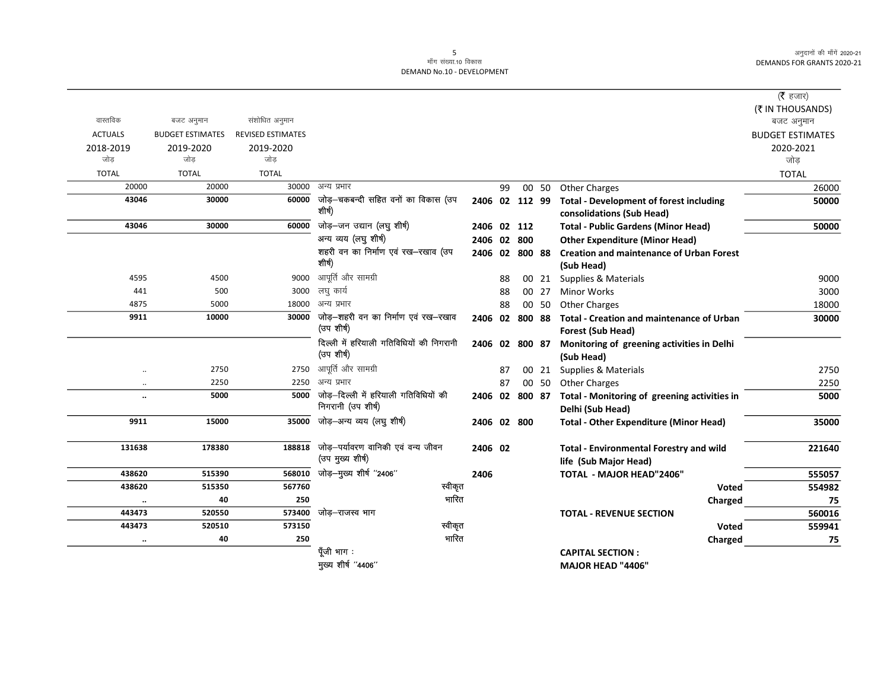|                      |                         |                          |                                           |                |    |                |       |                                                 | ( <b>रै</b> हजार)       |
|----------------------|-------------------------|--------------------------|-------------------------------------------|----------------|----|----------------|-------|-------------------------------------------------|-------------------------|
|                      |                         |                          |                                           |                |    |                |       |                                                 | (₹ IN THOUSANDS)        |
| वास्तविक             | बजट अनुमान              | संशोधित अनुमान           |                                           |                |    |                |       |                                                 | बजट अनुमान              |
| <b>ACTUALS</b>       | <b>BUDGET ESTIMATES</b> | <b>REVISED ESTIMATES</b> |                                           |                |    |                |       |                                                 | <b>BUDGET ESTIMATES</b> |
| 2018-2019            | 2019-2020               | 2019-2020                |                                           |                |    |                |       |                                                 | 2020-2021               |
| जोड                  | जोड                     | जोड                      |                                           |                |    |                |       |                                                 | जोड                     |
| <b>TOTAL</b>         | <b>TOTAL</b>            | <b>TOTAL</b>             |                                           |                |    |                |       |                                                 | <b>TOTAL</b>            |
| 20000                | 20000                   | 30000                    | अन्य प्रभार                               |                | 99 |                | 00 50 | Other Charges                                   | 26000                   |
| 43046                | 30000                   | 60000                    | जोड़–चकबन्दी सहित वनों का विकास (उप       | 2406 02 112 99 |    |                |       | <b>Total - Development of forest including</b>  | 50000                   |
|                      |                         |                          | शीर्ष)                                    |                |    |                |       | consolidations (Sub Head)                       |                         |
| 43046                | 30000                   | 60000                    | जोड़—जन उद्यान (लघु शीर्ष)                | 2406 02 112    |    |                |       | <b>Total - Public Gardens (Minor Head)</b>      | 50000                   |
|                      |                         |                          | अन्य व्यय (लघु शीर्ष)                     | 2406 02 800    |    |                |       | <b>Other Expenditure (Minor Head)</b>           |                         |
|                      |                         |                          | शहरी वन का निर्माण एवं रख-रखाव (उप        |                |    | 2406 02 800 88 |       | <b>Creation and maintenance of Urban Forest</b> |                         |
|                      |                         |                          | शीर्ष)                                    |                |    |                |       | (Sub Head)                                      |                         |
| 4595                 | 4500                    |                          | 9000 आपूर्ति और सामग्री                   |                | 88 |                | 00 21 | Supplies & Materials                            | 9000                    |
| 441                  | 500                     | 3000                     | लघु कार्य                                 |                | 88 |                | 00 27 | <b>Minor Works</b>                              | 3000                    |
| 4875                 | 5000                    | 18000                    | अन्य प्रभार                               |                | 88 |                | 00 50 | <b>Other Charges</b>                            | 18000                   |
| 9911                 | 10000                   |                          | 30000 जोड़-शहरी वन का निर्माण एवं रख-रखाव |                |    | 2406 02 800 88 |       | Total - Creation and maintenance of Urban       | 30000                   |
|                      |                         |                          | (उप शीर्ष)                                |                |    |                |       | Forest (Sub Head)                               |                         |
|                      |                         |                          | दिल्ली में हरियाली गतिविधियों की निगरानी  |                |    | 2406 02 800 87 |       | Monitoring of greening activities in Delhi      |                         |
|                      |                         |                          | (उप शीर्ष)                                |                |    |                |       | (Sub Head)                                      |                         |
| $\ddot{\phantom{a}}$ | 2750                    | 2750                     | आपूर्ति और सामग्री                        |                | 87 |                | 00 21 | Supplies & Materials                            | 2750                    |
| $\ldots$             | 2250                    | 2250                     | अन्य प्रभार                               |                | 87 |                | 00 50 | <b>Other Charges</b>                            | 2250                    |
| $\ddot{\phantom{a}}$ | 5000                    | 5000                     | जोड़—दिल्ली में हरियाली गतिविधियों की     |                |    | 2406 02 800 87 |       | Total - Monitoring of greening activities in    | 5000                    |
|                      |                         |                          | निगरानी (उप शीर्ष)                        |                |    |                |       | Delhi (Sub Head)                                |                         |
| 9911                 | 15000                   | 35000                    | जोड़–अन्य व्यय (लघु शीर्ष)                | 2406 02 800    |    |                |       | <b>Total - Other Expenditure (Minor Head)</b>   | 35000                   |
|                      |                         |                          |                                           |                |    |                |       |                                                 |                         |
| 131638               | 178380                  | 188818                   | जोड़-पर्यावरण वानिकी एवं वन्य जीवन        | 2406 02        |    |                |       | <b>Total - Environmental Forestry and wild</b>  | 221640                  |
|                      |                         |                          | (उप मुख्य शीर्ष)                          |                |    |                |       | life (Sub Major Head)                           |                         |
| 438620               | 515390                  | 568010                   | जोड़-मुख्य शीर्ष "2406"                   | 2406           |    |                |       | <b>TOTAL - MAJOR HEAD"2406"</b>                 | 555057                  |
| 438620               | 515350                  | 567760                   | स्वीकृत                                   |                |    |                |       | <b>Voted</b>                                    | 554982                  |
| $\ldots$             | 40                      | 250                      | भारित                                     |                |    |                |       | Charged                                         | 75                      |
| 443473               | 520550                  | 573400                   | जोड़–राजस्व भाग                           |                |    |                |       | <b>TOTAL - REVENUE SECTION</b>                  | 560016                  |
| 443473               | 520510                  | 573150                   | स्वीकृत                                   |                |    |                |       | Voted                                           | 559941                  |
| $\ddot{\phantom{a}}$ | 40                      | 250                      | भारित                                     |                |    |                |       | Charged                                         | 75                      |
|                      |                         |                          | पूँजी भाग :                               |                |    |                |       | <b>CAPITAL SECTION:</b>                         |                         |
|                      |                         |                          | मुख्य शीर्ष "4406"                        |                |    |                |       | MAJOR HEAD "4406"                               |                         |